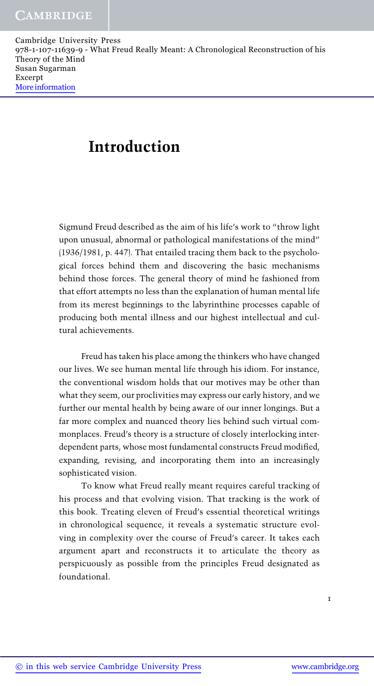## Introduction

Sigmund Freud described as the aim of his life's work to "throw light upon unusual, abnormal or pathological manifestations of the mind" (1936/1981, p. 447). That entailed tracing them back to the psychological forces behind them and discovering the basic mechanisms behind those forces. The general theory of mind he fashioned from that effort attempts no less than the explanation of human mental life from its merest beginnings to the labyrinthine processes capable of producing both mental illness and our highest intellectual and cultural achievements.

Freud has taken his place among the thinkers who have changed our lives. We see human mental life through his idiom. For instance, the conventional wisdom holds that our motives may be other than what they seem, our proclivities may express our early history, and we further our mental health by being aware of our inner longings. But a far more complex and nuanced theory lies behind such virtual commonplaces. Freud's theory is a structure of closely interlocking interdependent parts, whose most fundamental constructs Freud modified, expanding, revising, and incorporating them into an increasingly sophisticated vision.

To know what Freud really meant requires careful tracking of his process and that evolving vision. That tracking is the work of this book. Treating eleven of Freud's essential theoretical writings in chronological sequence, it reveals a systematic structure evolving in complexity over the course of Freud's career. It takes each argument apart and reconstructs it to articulate the theory as perspicuously as possible from the principles Freud designated as foundational.

1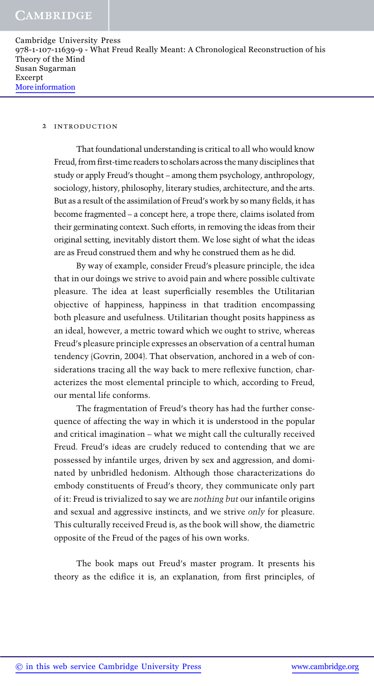#### 2 introduction

That foundational understanding is critical to all who would know Freud, from first-time readers to scholars across the many disciplines that study or apply Freud's thought – among them psychology, anthropology, sociology, history, philosophy, literary studies, architecture, and the arts. But as a result of the assimilation of Freud's work by so manyfields, it has become fragmented – a concept here, a trope there, claims isolated from their germinating context. Such efforts, in removing the ideas from their original setting, inevitably distort them. We lose sight of what the ideas are as Freud construed them and why he construed them as he did.

By way of example, consider Freud's pleasure principle, the idea that in our doings we strive to avoid pain and where possible cultivate pleasure. The idea at least superficially resembles the Utilitarian objective of happiness, happiness in that tradition encompassing both pleasure and usefulness. Utilitarian thought posits happiness as an ideal, however, a metric toward which we ought to strive, whereas Freud's pleasure principle expresses an observation of a central human tendency (Govrin, 2004). That observation, anchored in a web of considerations tracing all the way back to mere reflexive function, characterizes the most elemental principle to which, according to Freud, our mental life conforms.

The fragmentation of Freud's theory has had the further consequence of affecting the way in which it is understood in the popular and critical imagination – what we might call the culturally received Freud. Freud's ideas are crudely reduced to contending that we are possessed by infantile urges, driven by sex and aggression, and dominated by unbridled hedonism. Although those characterizations do embody constituents of Freud's theory, they communicate only part of it: Freud is trivialized to say we are nothing but our infantile origins and sexual and aggressive instincts, and we strive only for pleasure. This culturally received Freud is, as the book will show, the diametric opposite of the Freud of the pages of his own works.

The book maps out Freud's master program. It presents his theory as the edifice it is, an explanation, from first principles, of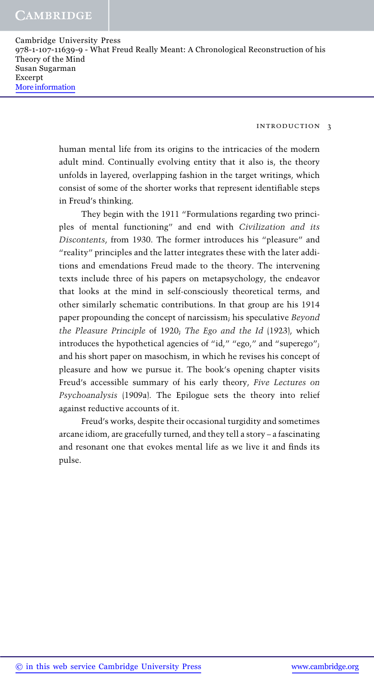## introduction 3

human mental life from its origins to the intricacies of the modern adult mind. Continually evolving entity that it also is, the theory unfolds in layered, overlapping fashion in the target writings, which consist of some of the shorter works that represent identifiable steps in Freud's thinking.

They begin with the 1911 "Formulations regarding two principles of mental functioning" and end with Civilization and its Discontents, from 1930. The former introduces his "pleasure" and "reality" principles and the latter integrates these with the later additions and emendations Freud made to the theory. The intervening texts include three of his papers on metapsychology, the endeavor that looks at the mind in self-consciously theoretical terms, and other similarly schematic contributions. In that group are his 1914 paper propounding the concept of narcissism; his speculative Beyond the Pleasure Principle of 1920; The Ego and the Id (1923), which introduces the hypothetical agencies of "id," "ego," and "superego"; and his short paper on masochism, in which he revises his concept of pleasure and how we pursue it. The book's opening chapter visits Freud's accessible summary of his early theory, Five Lectures on Psychoanalysis (1909a). The Epilogue sets the theory into relief against reductive accounts of it.

Freud's works, despite their occasional turgidity and sometimes arcane idiom, are gracefully turned, and they tell a story – a fascinating and resonant one that evokes mental life as we live it and finds its pulse.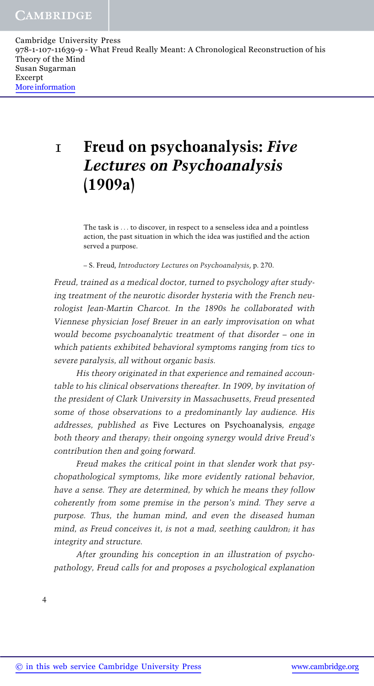# 1 Freud on psychoanalysis: Five Lectures on Psychoanalysis (1909a)

The task is ... to discover, in respect to a senseless idea and a pointless action, the past situation in which the idea was justified and the action served a purpose.

– S. Freud, Introductory Lectures on Psychoanalysis, p. 270.

Freud, trained as a medical doctor, turned to psychology after studying treatment of the neurotic disorder hysteria with the French neurologist Jean-Martin Charcot. In the 1890s he collaborated with Viennese physician Josef Breuer in an early improvisation on what would become psychoanalytic treatment of that disorder – one in which patients exhibited behavioral symptoms ranging from tics to severe paralysis, all without organic basis.

His theory originated in that experience and remained accountable to his clinical observations thereafter. In 1909, by invitation of the president of Clark University in Massachusetts, Freud presented some of those observations to a predominantly lay audience. His addresses, published as Five Lectures on Psychoanalysis, engage both theory and therapy; their ongoing synergy would drive Freud's contribution then and going forward.

Freud makes the critical point in that slender work that psychopathological symptoms, like more evidently rational behavior, have a sense. They are determined, by which he means they follow coherently from some premise in the person's mind. They serve a purpose. Thus, the human mind, and even the diseased human mind, as Freud conceives it, is not a mad, seething cauldron; it has integrity and structure.

After grounding his conception in an illustration of psychopathology, Freud calls for and proposes a psychological explanation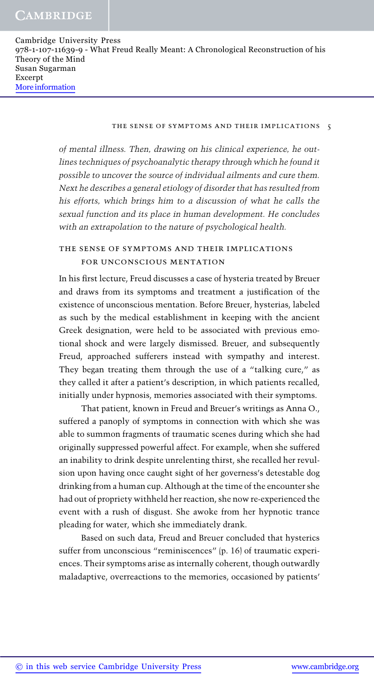## THE SENSE OF SYMPTOMS AND THEIR IMPLICATIONS 5

of mental illness. Then, drawing on his clinical experience, he outlines techniques of psychoanalytic therapy through which he found it possible to uncover the source of individual ailments and cure them. Next he describes a general etiology of disorder that has resulted from his efforts, which brings him to a discussion of what he calls the sexual function and its place in human development. He concludes with an extrapolation to the nature of psychological health.

## the sense of symptoms and their implications for unconscious mentation

In his first lecture, Freud discusses a case of hysteria treated by Breuer and draws from its symptoms and treatment a justification of the existence of unconscious mentation. Before Breuer, hysterias, labeled as such by the medical establishment in keeping with the ancient Greek designation, were held to be associated with previous emotional shock and were largely dismissed. Breuer, and subsequently Freud, approached sufferers instead with sympathy and interest. They began treating them through the use of a "talking cure," as they called it after a patient's description, in which patients recalled, initially under hypnosis, memories associated with their symptoms.

That patient, known in Freud and Breuer's writings as Anna O., suffered a panoply of symptoms in connection with which she was able to summon fragments of traumatic scenes during which she had originally suppressed powerful affect. For example, when she suffered an inability to drink despite unrelenting thirst, she recalled her revulsion upon having once caught sight of her governess's detestable dog drinking from a human cup. Although at the time of the encounter she had out of propriety withheld her reaction, she now re-experienced the event with a rush of disgust. She awoke from her hypnotic trance pleading for water, which she immediately drank.

Based on such data, Freud and Breuer concluded that hysterics suffer from unconscious "reminiscences" (p. 16) of traumatic experiences. Their symptoms arise as internally coherent, though outwardly maladaptive, overreactions to the memories, occasioned by patients'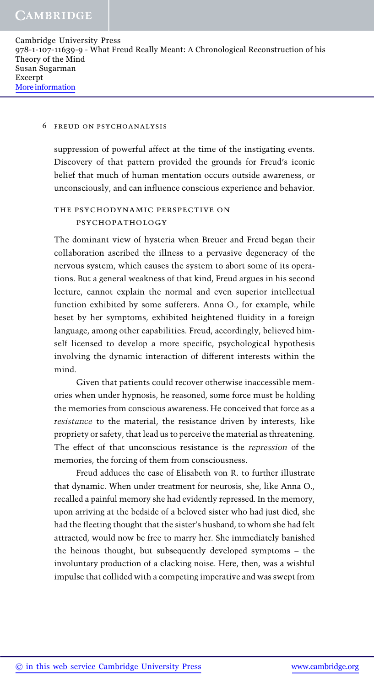## 6 freud on psychoanalysis

suppression of powerful affect at the time of the instigating events. Discovery of that pattern provided the grounds for Freud's iconic belief that much of human mentation occurs outside awareness, or unconsciously, and can influence conscious experience and behavior.

## the psychodynamic perspective on psychopathology

The dominant view of hysteria when Breuer and Freud began their collaboration ascribed the illness to a pervasive degeneracy of the nervous system, which causes the system to abort some of its operations. But a general weakness of that kind, Freud argues in his second lecture, cannot explain the normal and even superior intellectual function exhibited by some sufferers. Anna O., for example, while beset by her symptoms, exhibited heightened fluidity in a foreign language, among other capabilities. Freud, accordingly, believed himself licensed to develop a more specific, psychological hypothesis involving the dynamic interaction of different interests within the mind.

Given that patients could recover otherwise inaccessible memories when under hypnosis, he reasoned, some force must be holding the memories from conscious awareness. He conceived that force as a resistance to the material, the resistance driven by interests, like propriety or safety, that lead us to perceive the material as threatening. The effect of that unconscious resistance is the repression of the memories, the forcing of them from consciousness.

Freud adduces the case of Elisabeth von R. to further illustrate that dynamic. When under treatment for neurosis, she, like Anna O., recalled a painful memory she had evidently repressed. In the memory, upon arriving at the bedside of a beloved sister who had just died, she had the fleeting thought that the sister's husband, to whom she had felt attracted, would now be free to marry her. She immediately banished the heinous thought, but subsequently developed symptoms – the involuntary production of a clacking noise. Here, then, was a wishful impulse that collided with a competing imperative and was swept from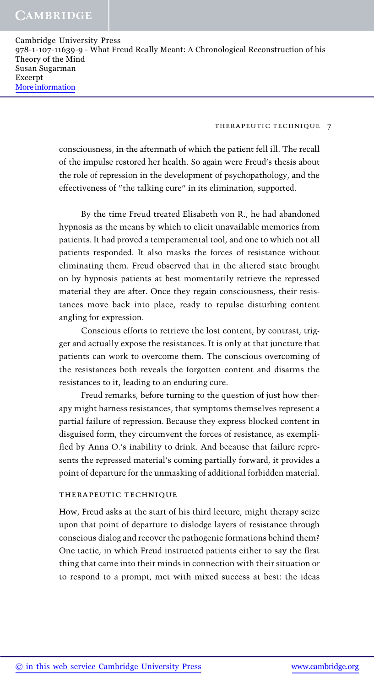## THERAPEUTIC TECHNIQUE 7

consciousness, in the aftermath of which the patient fell ill. The recall of the impulse restored her health. So again were Freud's thesis about the role of repression in the development of psychopathology, and the effectiveness of "the talking cure" in its elimination, supported.

By the time Freud treated Elisabeth von R., he had abandoned hypnosis as the means by which to elicit unavailable memories from patients. It had proved a temperamental tool, and one to which not all patients responded. It also masks the forces of resistance without eliminating them. Freud observed that in the altered state brought on by hypnosis patients at best momentarily retrieve the repressed material they are after. Once they regain consciousness, their resistances move back into place, ready to repulse disturbing content angling for expression.

Conscious efforts to retrieve the lost content, by contrast, trigger and actually expose the resistances. It is only at that juncture that patients can work to overcome them. The conscious overcoming of the resistances both reveals the forgotten content and disarms the resistances to it, leading to an enduring cure.

Freud remarks, before turning to the question of just how therapy might harness resistances, that symptoms themselves represent a partial failure of repression. Because they express blocked content in disguised form, they circumvent the forces of resistance, as exemplified by Anna O.'s inability to drink. And because that failure represents the repressed material's coming partially forward, it provides a point of departure for the unmasking of additional forbidden material.

## therapeutic technique

How, Freud asks at the start of his third lecture, might therapy seize upon that point of departure to dislodge layers of resistance through conscious dialog and recover the pathogenic formations behind them? One tactic, in which Freud instructed patients either to say the first thing that came into their minds in connection with their situation or to respond to a prompt, met with mixed success at best: the ideas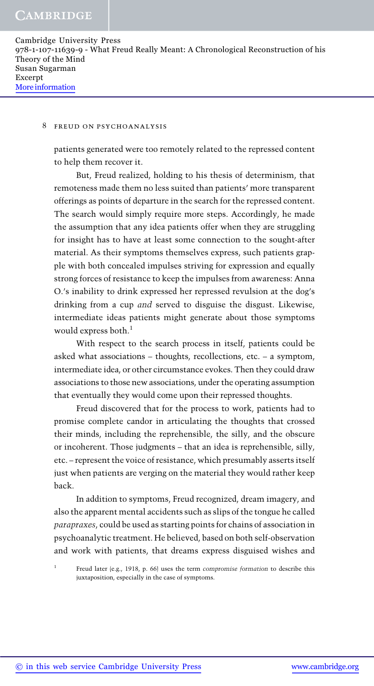## 8 freud on psychoanalysis

patients generated were too remotely related to the repressed content to help them recover it.

But, Freud realized, holding to his thesis of determinism, that remoteness made them no less suited than patients' more transparent offerings as points of departure in the search for the repressed content. The search would simply require more steps. Accordingly, he made the assumption that any idea patients offer when they are struggling for insight has to have at least some connection to the sought-after material. As their symptoms themselves express, such patients grapple with both concealed impulses striving for expression and equally strong forces of resistance to keep the impulses from awareness: Anna O.'s inability to drink expressed her repressed revulsion at the dog's drinking from a cup and served to disguise the disgust. Likewise, intermediate ideas patients might generate about those symptoms would express both.<sup>1</sup>

With respect to the search process in itself, patients could be asked what associations – thoughts, recollections, etc. – a symptom, intermediate idea, or other circumstance evokes. Then they could draw associations to those new associations, under the operating assumption that eventually they would come upon their repressed thoughts.

Freud discovered that for the process to work, patients had to promise complete candor in articulating the thoughts that crossed their minds, including the reprehensible, the silly, and the obscure or incoherent. Those judgments – that an idea is reprehensible, silly, etc. – represent the voice of resistance, which presumably asserts itself just when patients are verging on the material they would rather keep back.

In addition to symptoms, Freud recognized, dream imagery, and also the apparent mental accidents such as slips of the tongue he called parapraxes, could be used as starting points for chains of association in psychoanalytic treatment. He believed, based on both self-observation and work with patients, that dreams express disguised wishes and

Freud later (e.g., 1918, p. 66) uses the term compromise formation to describe this juxtaposition, especially in the case of symptoms.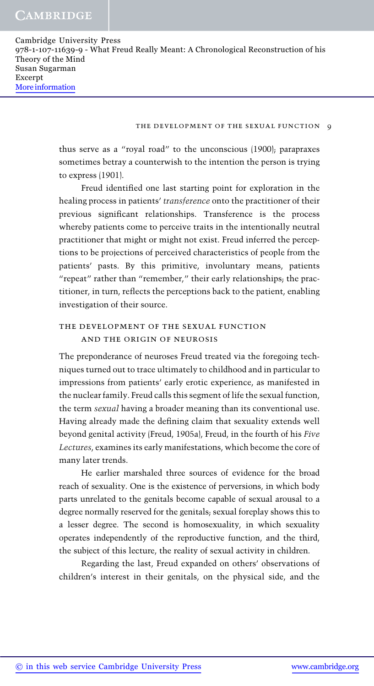#### THE DEVELOPMENT OF THE SEXUAL FUNCTION 9

thus serve as a "royal road" to the unconscious (1900); parapraxes sometimes betray a counterwish to the intention the person is trying to express (1901).

Freud identified one last starting point for exploration in the healing process in patients' transference onto the practitioner of their previous significant relationships. Transference is the process whereby patients come to perceive traits in the intentionally neutral practitioner that might or might not exist. Freud inferred the perceptions to be projections of perceived characteristics of people from the patients' pasts. By this primitive, involuntary means, patients "repeat" rather than "remember," their early relationships; the practitioner, in turn, reflects the perceptions back to the patient, enabling investigation of their source.

## the development of the sexual function and the origin of neurosis

The preponderance of neuroses Freud treated via the foregoing techniques turned out to trace ultimately to childhood and in particular to impressions from patients' early erotic experience, as manifested in the nuclear family. Freud calls this segment of life the sexual function, the term sexual having a broader meaning than its conventional use. Having already made the defining claim that sexuality extends well beyond genital activity (Freud, 1905a), Freud, in the fourth of his Five Lectures, examines its early manifestations, which become the core of many later trends.

He earlier marshaled three sources of evidence for the broad reach of sexuality. One is the existence of perversions, in which body parts unrelated to the genitals become capable of sexual arousal to a degree normally reserved for the genitals; sexual foreplay shows this to a lesser degree. The second is homosexuality, in which sexuality operates independently of the reproductive function, and the third, the subject of this lecture, the reality of sexual activity in children.

Regarding the last, Freud expanded on others' observations of children's interest in their genitals, on the physical side, and the